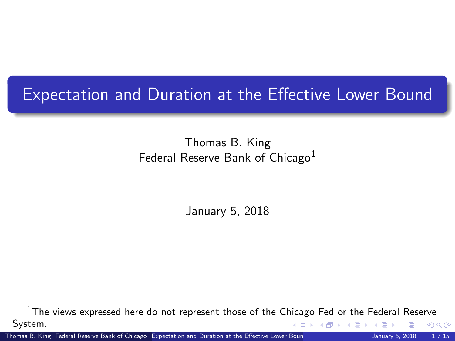### <span id="page-0-0"></span>Expectation and Duration at the Effective Lower Bound

Thomas B. King Federal Reserve Bank of Chicago<sup>1</sup>

January 5, 2018

 $1$ The views expressed here do not represent those of the Chicago Fed or the Federal Reserve System.  $\leftarrow$   $\rightarrow$   $\rightarrow$   $\rightarrow$   $\rightarrow$   $\rightarrow$   $\rightarrow$   $\rightarrow$ つへへ

Thomas B. King Federal Reserve Bank of Chicago [Expectation and Duration at the Effective Lower Bound](#page-14-0) January 5, 2018 1 / 15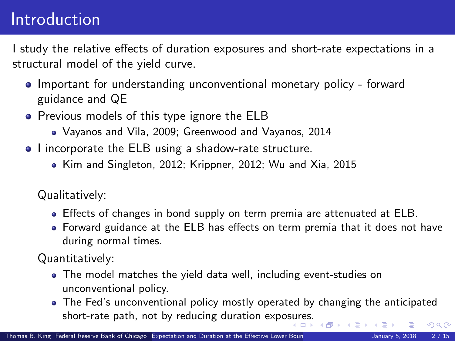### Introduction

I study the relative effects of duration exposures and short-rate expectations in a structural model of the yield curve.

- Important for understanding unconventional monetary policy forward guidance and QE
- **•** Previous models of this type ignore the ELB
	- Vayanos and Vila, 2009; Greenwood and Vayanos, 2014
- I incorporate the ELB using a shadow-rate structure.
	- Kim and Singleton, 2012; Krippner, 2012; Wu and Xia, 2015

Qualitatively:

- Effects of changes in bond supply on term premia are attenuated at ELB.
- Forward guidance at the ELB has effects on term premia that it does not have during normal times.

Quantitatively:

- The model matches the yield data well, including event-studies on unconventional policy.
- The Fed's unconventional policy mostly operated by changing the anticipated short-rate path, not by reducing duration expo[sur](#page-0-0)e[s.](#page-2-0)  $QQ$  $\left\{ \left( \left. \bigoplus \right. \right. \left. \left. \left. \left( \left. \right. \right. \right. \left. \left. \right. \right. \left. \left. \right. \right. \left. \left. \right. \right. \left. \left. \left. \right. \right. \left. \left. \right. \right. \left. \left. \right. \right. \left. \left. \left. \right. \right. \left. \left. \right. \right. \left. \left. \left. \right. \right. \left. \left. \right. \right. \left. \left. \right. \right. \left. \left. \right. \left. \left. \right. \right. \left. \left. \right. \right. \left$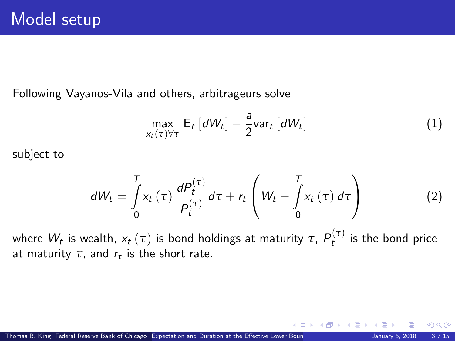<span id="page-2-0"></span>Following Vayanos-Vila and others, arbitrageurs solve

$$
\max_{x_t(\tau)\forall\tau} E_t \left[ dW_t \right] - \frac{a}{2} \text{var}_t \left[ dW_t \right] \tag{1}
$$

subject to

$$
dW_t = \int\limits_0^T x_t(\tau) \frac{dP_t^{(\tau)}}{P_t^{(\tau)}} d\tau + r_t \left( W_t - \int\limits_0^T x_t(\tau) d\tau \right) \tag{2}
$$

where  $W_t$  is wealth,  $x_t\left(\tau\right)$  is bond holdings at maturity  $\tau,\,P_t^{\left(\tau\right)}$  is the bond price at maturity  $\tau$ , and  $r_t$  is the short rate.

 $\Omega$ 

**K ロ ト K 倒 ト K 差 ト K**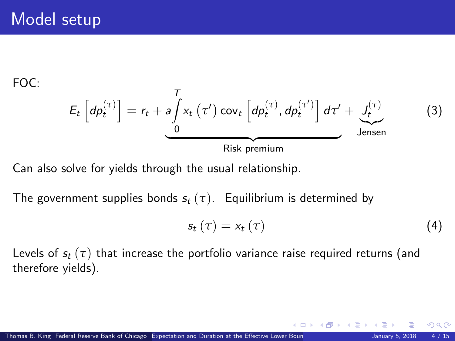FOC:

$$
E_{t}\left[dp_{t}^{(\tau)}\right] = r_{t} + a \int_{0}^{T} x_{t}\left(\tau'\right) \text{cov}_{t}\left[dp_{t}^{(\tau)}, dp_{t}^{(\tau')}\right] d\tau' + \underbrace{J_{t}^{(\tau)}}_{\text{Jensen}}
$$
(3)

Can also solve for yields through the usual relationship.

The government supplies bonds  $s_t(\tau)$ . Equilibrium is determined by

$$
s_t\left(\tau\right) = x_t\left(\tau\right) \tag{4}
$$

**K ロ ▶ K 御 ▶ K 君 ▶** 

Levels of  $s_t(\tau)$  that increase the portfolio variance raise required returns (and therefore yields).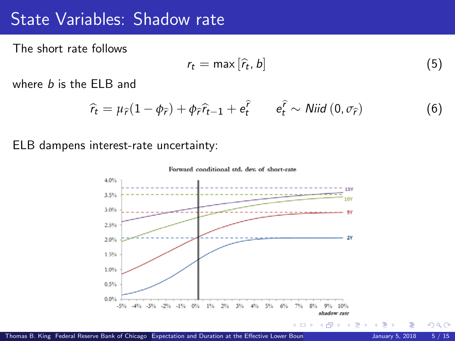### State Variables: Shadow rate State Variables: Shadow rate

The short rate follows The short rate follows

$$
r_t = \max[\hat{r}_t, b] \tag{5}
$$

where b is the ELB and where *b* is the ELB and

$$
\widehat{r}_t = \mu_{\widehat{r}}(1 - \phi_{\widehat{r}}) + \phi_{\widehat{r}}\widehat{r}_{t-1} + e_t^{\widehat{r}} \qquad e_t^{\widehat{r}} \sim \text{Niid } (0, \sigma_{\widehat{r}})
$$
(6)

ELB dampens interest-rate uncertainty: ELB dampens interest-rate uncertainty:



 $QQ$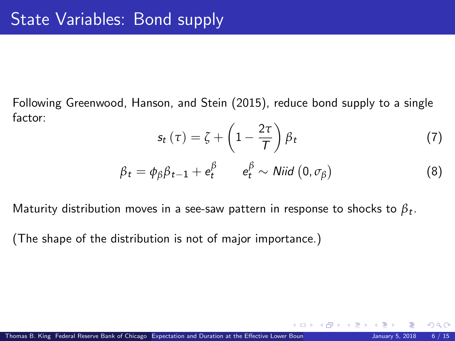Following Greenwood, Hanson, and Stein (2015), reduce bond supply to a single factor:

$$
s_t(\tau) = \zeta + \left(1 - \frac{2\tau}{T}\right)\beta_t\tag{7}
$$

**K ロ ト K 何 ト K ヨ ト** 

$$
\beta_t = \phi_\beta \beta_{t-1} + e_t^\beta \qquad e_t^\beta \sim \text{Niid } (0, \sigma_\beta) \tag{8}
$$

Maturity distribution moves in a see-saw pattern in response to shocks to *β*<sup>t</sup> .

(The shape of the distribution is not of major importance.)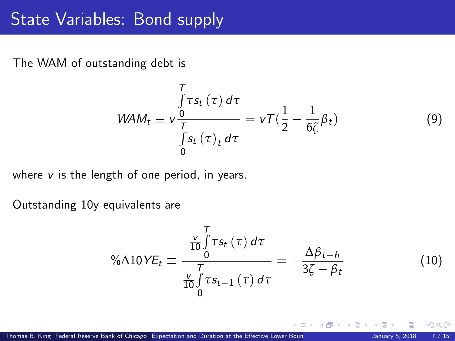### State Variables: Bond supply

The WAM of outstanding debt is

$$
WAM_t \equiv v \frac{\int \tau s_t(\tau) d\tau}{\int \tau s_t(\tau)_t d\tau} = v \tau (\frac{1}{2} - \frac{1}{6\zeta} \beta_t)
$$

where  $v$  is the length of one period, in years.

Outstanding 10y equivalents are

$$
\% \Delta 10 \, VE_t \equiv \frac{\frac{V}{10} \int_0^T \tau s_t(\tau) \, d\tau}{\frac{V}{10} \int_0^T \tau s_{t-1}(\tau) \, d\tau} = -\frac{\Delta \beta_{t+h}}{3\zeta - \beta_t}
$$
(10)

**K ロ ト K 何 ト K 日** 

 $\Omega$ 

*β*t) (9)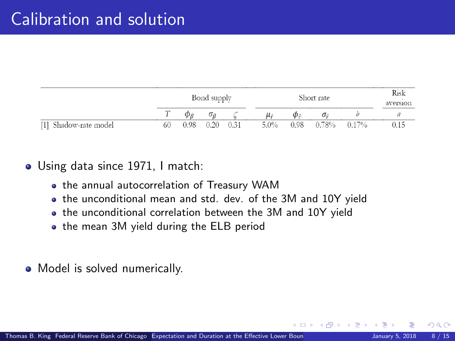<span id="page-7-0"></span>

|                                        |    | Bond supply |      |      | Short rate |           |                    | Risk<br>aversion |      |
|----------------------------------------|----|-------------|------|------|------------|-----------|--------------------|------------------|------|
|                                        |    |             | σο   |      |            | Ф÷        | $\sigma_{\hat{r}}$ |                  |      |
| Shadow-rate model<br>$\lceil 1 \rceil$ | 60 | 0.98        | 0.20 | 0.31 | $5.0\%$    | $_{0.98}$ | 0.78%              | 0.17%            | ).15 |

#### Using data since 1971, I match: Using data since 1971, I match:

- the annual autocorrelation of Treasury WAM the annual autocorrelation of Treasury WAM
- the unconditional mean and std. dev. of the 3M and 10Y yield the unconditional mean and std. dev. of the 3M and 10Y yield
- the unconditional correlation between the 3M and 10Y yield the unconditional correlation between the 3M and 10Y yield
- the mean 3M yield during the ELB period the mean 3M yield during the ELB period
- Model is solved numerically. Model is solved numerically.

 $\Omega$ 

**K ロ ▶ | K 伺 ▶ | K ヨ ▶**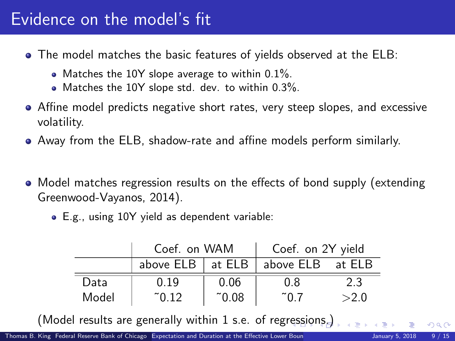### <span id="page-8-0"></span>Evidence on the model's fit

- The model matches the basic features of yields observed at the ELB:
	- Matches the 10Y slope average to within  $0.1\%$ .
	- Matches the 10Y slope std. dev. to within 0.3%.
- Affine model predicts negative short rates, very steep slopes, and excessive volatility.
- Away from the ELB, shadow-rate and affine models perform similarly.
- Model matches regression results on the effects of bond supply (extending Greenwood-Vayanos, 2014).
	- E.g., using 10Y yield as dependent variable:

|       | Coef. on WAM                     |                | Coef. on 2Y yield |      |  |
|-------|----------------------------------|----------------|-------------------|------|--|
|       | above $ELB$ at $ELB$ $\parallel$ |                | above ELB at ELB  |      |  |
| Data  | 0.19                             | 0.06           | 0.8               | 2.3  |  |
| Model | $\degree$ 0.12                   | $^{\circ}0.08$ | ~ი ⁊              | >2.0 |  |

(Model results are generally within 1 s.e. of reg[res](#page-7-0)s[io](#page-9-0)[ns](#page-7-0)[.\)](#page-8-0)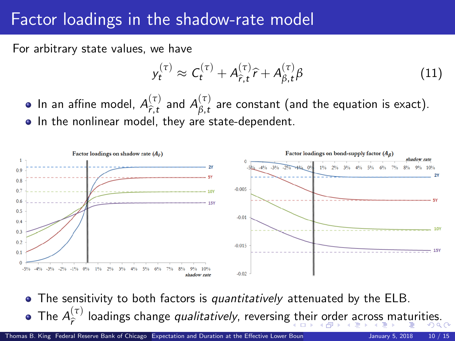# <span id="page-9-0"></span>Factor loadings in the shadow-rate model Factor loadings in the shadow-rate model

For arbitrary state values, we have For arbitrary state values, we have

$$
y_t^{(\tau)} \approx C_t^{(\tau)} + A_{\widehat{r},t}^{(\tau)} \widehat{r} + A_{\beta,t}^{(\tau)} \beta \tag{11}
$$

In an affine model,  $A_{\widehat{r},t}^{(\tau)}$  $\begin{matrix} (\tau) \ \hat{r}, t \end{matrix}$  and  $A_{\beta, t}^{(\tau)}$ In an affine model,  $A_{\hat{r},t}^{(\tau)}$  and  $A_{\beta,t}^{(\tau)}$  are constant (and the equation is exact). In the nonlinear model, they are state-dependent. In the nonlinear model, they are state-dependent.



The sensitivity to both factors is *quantitatively* attenuated by the ELB. The sensitivity to both factors is quantitatively attenuated by the ELB. *A*<sup>(*τ*)</sup>loadings chang[e](#page-10-0) *qualit[at](#page-0-0)ively*, reversing [th](#page-8-0)[eir](#page-10-0) [ord](#page-9-0)e[r a](#page-0-0)[cro](#page-14-0)[ss](#page-0-0) [m](#page-14-0)at[urit](#page-14-0)ies.  $\hat{r}^{(t)}$  loadings change qualitatively, reversing their order across maturities.<br> $\hat{r}^{(t)}$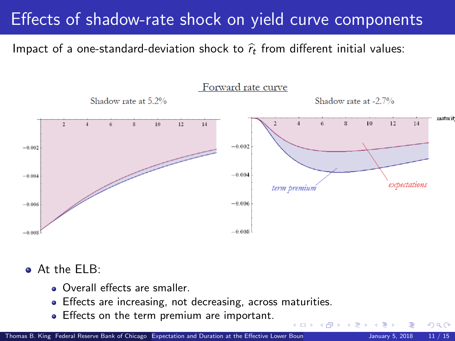### <span id="page-10-0"></span>Effects of shadow-rate shock on yield curve components

Impact of a one-standard-deviation shock to  $\widehat{r}_t$  from different initial values:



 $-1$   $-1$ 

At the ELB: At the ELB:

- Overall effects are smaller.
- Effects are increasing, not decreasing, across maturities.
- Effects on the term premium are important.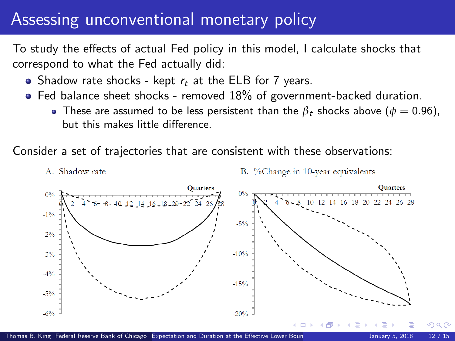### <span id="page-11-0"></span>Assessing unconventional monetary policy Assessing unconventional monetary policy

To study the effects of actual Fed policy in this model, I calculate shocks that correspond to what the Fed actually did: correspond to what the Fed actually did:

- Shadow rate shocks kept  $r_t$  at the ELB for 7 years.
- Fed balance sheet shocks removed 18% of government-backed duration. Fed balance sheet shocks removed 18% of government-backed duration.
	- These are assumed to be less persistent than the  $\beta_t$  shocks above  $(\phi=0.96)$ , but this makes little difference.

Consider a set of trajectories that are consistent with these observations: Consider a set of trajectories that are consistent with these observations:

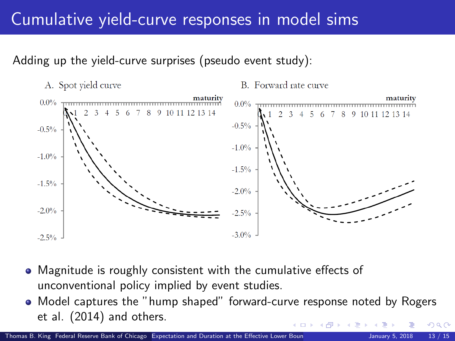### Cumulative yield-curve responses in model sims Cumulative yield-curve responses in model sims

#### Adding up the yield-curve surprises (pseudo event study): Adding up the yield-curve surprises (pseudo event study):

A. Spot yield curve

B. Forward rate curve



- Magnitude is roughly consistent with the cumulative effects of unconventional policy implied by event studies. unconventional policy implied by event studies.
- Model captures the "hump shaped" forward-curve response noted by Rogers Model captures the "hump shaped" forward-curve response noted by Rogers et al. (2014) and others. et al. (2014) and others.  $\Omega$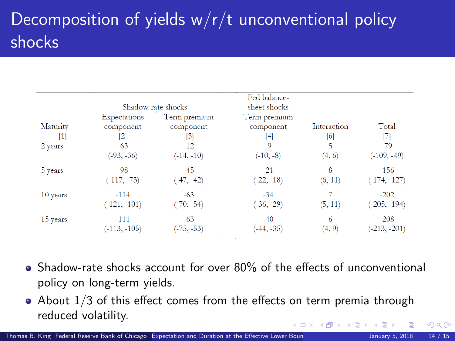## Decomposition of yields w/r/t unconventional policy Decomposition of yields w/r/t unconventional policy shocks shocks

|                |                                                | Shadow-rate shocks               | Fed balance-<br>sheet shocks     |                    |                |
|----------------|------------------------------------------------|----------------------------------|----------------------------------|--------------------|----------------|
| Maturity<br> 1 | Expectations<br>component<br>$\lceil 2 \rceil$ | Term premium<br>component<br>[3] | Term premium<br>component<br>[4] | Interaction<br>[6] | Total<br>И     |
| 2 years        | $-63$                                          | $-12$                            | $-9$                             | 5                  | $-79$          |
|                | $(-93, -36)$                                   | $(-14, -10)$                     | $(-10, -8)$                      | (4, 6)             | $(-109, -49)$  |
| 5 years        | $-98$                                          | $-45$                            | $-21$                            | 8                  | $-156$         |
|                | $(-117, -73)$                                  | $(-47, -42)$                     | $(-22, -18)$                     | (6, 11)            | $(-174, -127)$ |
| 10 years       | $-114$                                         | $-63$                            | $-34$                            | 7                  | $-202$         |
|                | $(-121, -101)$                                 | $(-70, -54)$                     | $(-36, -29)$                     | (5, 11)            | $(-205, -194)$ |
| 15 years       | $-111$                                         | $-63$                            | $-40$                            | 6                  | $-208$         |
|                | $(-113, -105)$                                 | $(-75, -53)$                     | $(-44, -35)$                     | (4, 9)             | $(-213, -201)$ |

- Shadow-rate shocks account for over 80% of the effects of unconventional policy on long-term yields. policy on long-term yields.
- About  $1/3$  of this effect comes from the effects on term premia through reduced volatility. reduced volatility.  $\leftarrow$   $\leftarrow$   $\leftarrow$   $\leftarrow$   $\leftarrow$   $\leftarrow$   $\leftarrow$   $\leftarrow$   $\leftarrow$   $\leftarrow$   $\leftarrow$   $\leftarrow$   $\leftarrow$   $\leftarrow$   $\leftarrow$   $\leftarrow$   $\leftarrow$   $\leftarrow$   $\leftarrow$   $\leftarrow$   $\leftarrow$   $\leftarrow$   $\leftarrow$   $\leftarrow$   $\leftarrow$   $\leftarrow$   $\leftarrow$   $\leftarrow$   $\leftarrow$   $\leftarrow$   $\leftarrow$   $\leftarrow$   $\leftarrow$   $\leftarrow$   $\leftarrow$   $\leftarrow$   $\leftarrow$